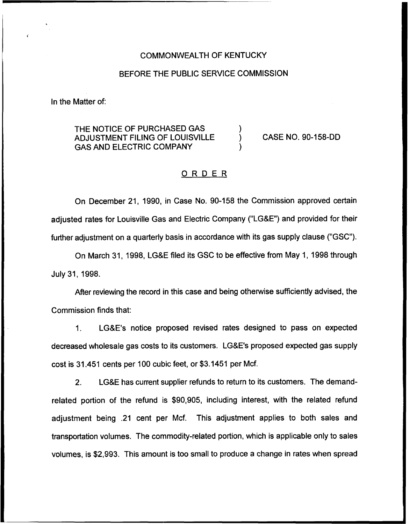### COMMONWEALTH OF KENTUCKY

### BEFORE THE PUBLIC SERVICE COMMISSION

In the Matter of:

THE NOTICE OF PURCHASED GAS ADJUSTMENT FILING OF LOUISVILLE GAS AND ELECTRIC COMPANY

) CASE NO. 90-158-DD

### ORDER

)

)

On December 21, 1990, in Case No. 90-158 the Commission approved certain adjusted rates for Louisville Gas and Electric Company ("LG&E") and provided for their further adjustment on a quarterly basis in accordance with its gas supply clause {"GSC").

On March 31, 1998, LG&E filed its GSC to be effective from May 1, 1998 through July 31, 1998.

After reviewing the record in this case and being otherwise sufficiently advised, the Commission finds that:

1. LG&E's notice proposed revised rates designed to pass on expected decreased wholesale gas costs to its customers. LG&E's proposed expected gas supply cost is 31.451 cents per 100 cubic feet, or \$3.1451 per Mcf.

2. LG&E has current supplier refunds to return to its customers. The demandrelated portion of the refund is \$90,905, including interest, with the related refund adjustment being .21 cent per Mcf. This adjustment applies to both sales and transportation volumes. The commodity-related portion, which is applicable only to sales volumes, is \$2,993. This amount is too small to produce a change in rates when spread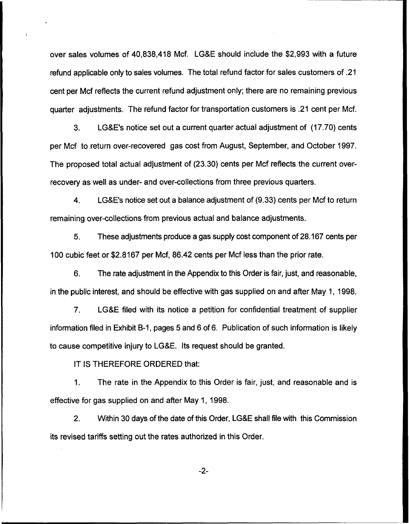over sales volumes of 40,838,418 Mcf. LG&E should include the \$2,993 with a future refund applicable only to sales volumes. The total refund factor for sales customers of .21 cent per Mcf reflects the current refund adjustment only; there are no remaining previous quarter adjustments. The refund factor for transportation customers is .21 cent per Mcf.

3. LG&E's notice set out a current quarter actual adjustment of (17.70) cents per Mcf to return over-recovered gas cost from August, September, and October 1997. The proposed total actual adjustment of (23.30) cents per Mcf reflects the current overrecovery as well as under- and over-collections from three previous quarters.

4. LG&E's notice set out a balance adjustment of (9.33) cents per Mcf to return remaining over-collections from previous actual and balance adjustments.

5. These adjustments produce a gas supply cost component of 28.167 cents per 100 cubic feet or \$2.8167 per Mcf, 86.42 cents per Mcf less than the prior rate.

6. The rate adjustment in the Appendix to this Order is fair, just, and reasonable, in the public interest, and should be effective with gas supplied on and after May 1, 1998.

7. LG&E filed with its notice a petition for confidential treatment of supplier information filed in Exhibit B-1, pages 5 and 6 of 6. Publication of such information is likely to cause competitive injury to LG&E. Its request should be granted.

IT IS THEREFORE ORDERED that:

1. The rate in the Appendix to this Order is fair, just, and reasonable and is effective for gas supplied on and after May 1, 1998.

2. Within 30 days of the date of this Order, LG&E shall file with this Commission its revised tariffs setting out the rates authorized in this Order.

-2-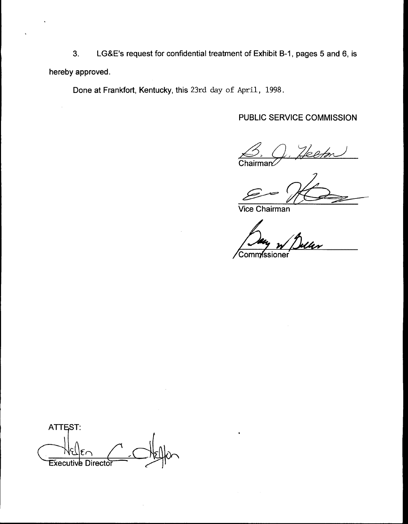3. LGB E's request for confidential treatment of Exhibit B-1, pages 5 and 6, is hereby approved.

Done at Frankfort, Kentucky, this 23rd day of April, 1998.

# PUBLIC SERVICE COMMISSION

 $Cha$ 

Vice Chairman

Comm**/**ssioner

ATTEST: **Executive Director**